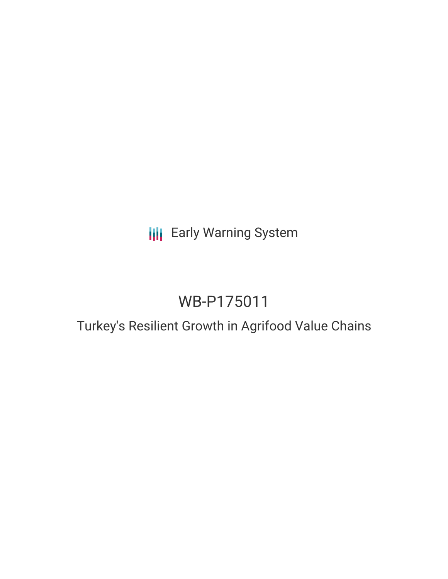**III** Early Warning System

# WB-P175011

## Turkey's Resilient Growth in Agrifood Value Chains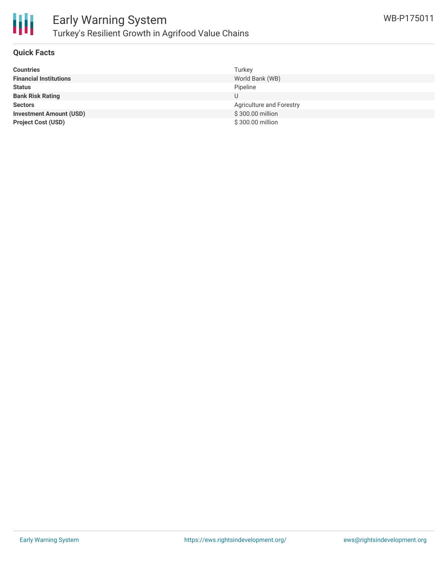

### **Quick Facts**

| <b>Countries</b>               | Turkey                   |
|--------------------------------|--------------------------|
| <b>Financial Institutions</b>  | World Bank (WB)          |
| <b>Status</b>                  | Pipeline                 |
| <b>Bank Risk Rating</b>        | U                        |
| <b>Sectors</b>                 | Agriculture and Forestry |
| <b>Investment Amount (USD)</b> | \$300.00 million         |
| <b>Project Cost (USD)</b>      | \$300.00 million         |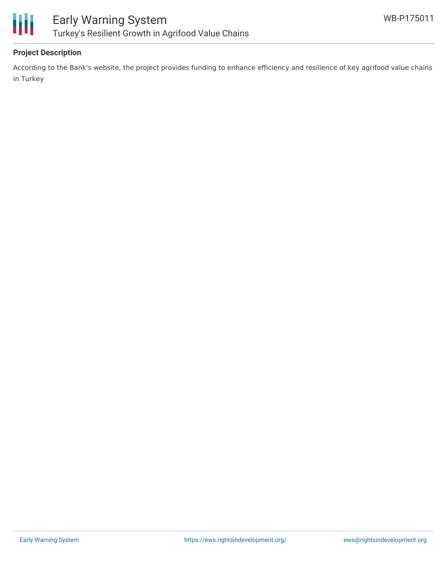



### **Project Description**

According to the Bank's website, the project provides funding to enhance efficiency and resilience of key agrifood value chains in Turkey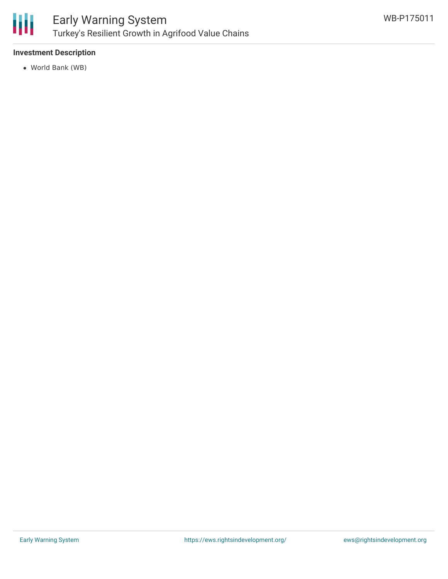

### Early Warning System Turkey's Resilient Growth in Agrifood Value Chains

### **Investment Description**

World Bank (WB)